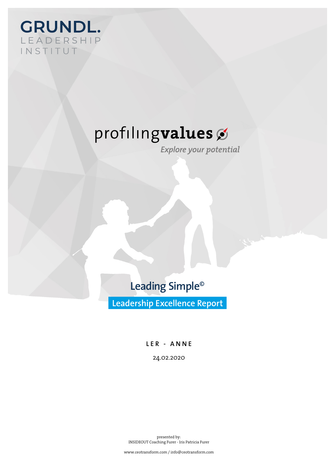

Explore your potential

**Leading Simple©**

**Leadership Excellence Report**

LER - ANNE 24.02.2020

presented by: INSIDEOUT Coaching Furer - Iris Patricia Furer

www.ceotransform.com / info@ceotransform.com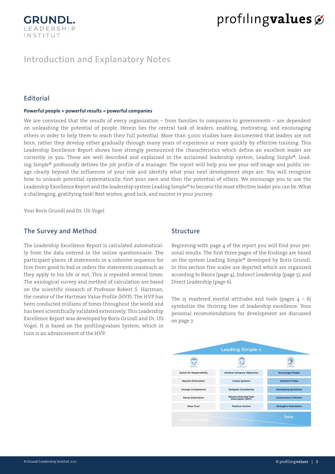

### **Introduction and Explanatory Notes**

#### **Editorial**

#### **Powerful people = powerful results = powerful companies**

We are convinced that the results of every organization – from families to companies to governments – are dependent on unleashing the potential of people. Herein lies the central task of leaders: enabling, motivating, and encouraging others in order to help them to reach their full potential. More than 3,000 studies have documented that leaders are not born, rather they develop either gradually through many years of experience or more quickly by effective training. This Leadership Excellence Report shows how strongly pronounced the characteristics which define an excellent leader are currently in you. These are well described and explained in the acclaimed leadership system, Leading Simple®. Leading Simple® profoundly defines the job profile of a manager. The report will help you see your self-image and public image clearly beyond the influences of your role and identify what your next development steps are. You will recognize how to unleash potential systematically: first your own and then the potential of others. We encourage you to use the Leadership Excellence Report and the leadership system Leading Simple® to become the most effective leader you can be. What a challenging, gratifying task! Best wishes, good luck, and success in your journey.

Your Boris Grundl and Dr. Uli Vogel

#### **The Survey and Method**

The Leadership Excellence Report is calculated automatically from the data entered in the online questionnaire. The participant places 18 statements in a cohesive sequence for him from good to bad or orders the statements inasmuch as they apply to his life or not. This is repeated several times. The axiological survey and method of calculation are based on the scientific research of Professor Robert S. Hartman, the creator of the Hartman Value Profile (HVP). The HVP has been conducted millions of times throughout the world and has been scientifically validated extensively. This Leadership Excellence Report was developed by Boris Grundl and Dr. Uli Vogel. It is based on the profilingvalues System, which in turn is an advancement of the HVP.

#### **Structure**

Beginning with page 4 of the report you will find your personal results. The first three pages of the findings are based on the system Leading Simple® developed by Boris Grundl. In this section five scales are depicted which are organized according to Basics (page 4), Indirect Leadership (page 5), and Direct Leadership (page 6).

The 15 mastered mental attitudes and tools (pages  $4 - 6$ ) symbolize the thriving tree of leadership excellence. Your personal recommendations for development are discussed on page 7.

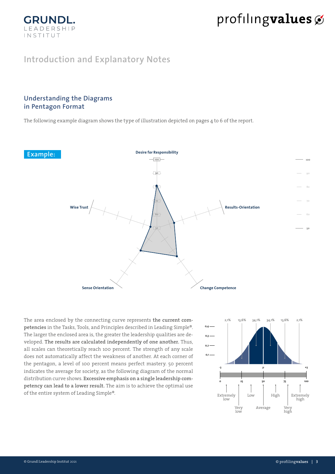## **Introduction and Explanatory Notes**

### **Understanding the Diagrams in Pentagon Format**

**GRUNDI** LEADERSHIP INSTITUT

The following example diagram shows the type of illustration depicted on pages 4 to 6 of the report.



The area enclosed by the connecting curve represents **the current competencies** in the Tasks, Tools, and Principles described in Leading Simple®. The larger the enclosed area is, the greater the leadership qualities are developed. **The results are calculated independently of one another.** Thus, all scales can theoretically reach 100 percent. The strength of any scale does not automatically affect the weakness of another. At each corner of the pentagon, a level of 100 percent means perfect mastery. 50 percent indicates the average for society, as the following diagram of the normal distribution curve shows. **Excessive emphasis on a single leadership competency can lead to a lower result.** The aim is to achieve the optimal use of the entire system of Leading Simple®.

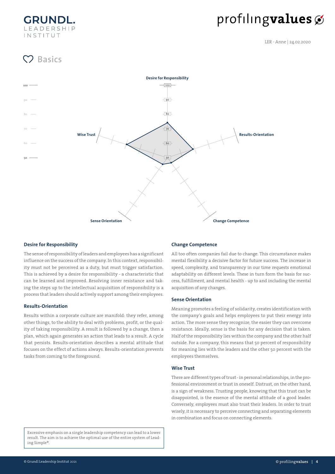**GRUND** LEADERSHIP INSTITUT

# profilingvalues

LER - Anne | 24.02.2020

## **Basics**



#### **Desire for Responsibility**

The sense of responsibility of leaders and employees has a significant influence on the success of the company. In this context, responsibility must not be perceived as a duty, but must trigger satisfaction. This is achieved by a desire for responsibility - a characteristic that can be learned and improved. Resolving inner resistance and taking the steps up to the intellectual acquisition of responsibility is a process that leaders should actively support among their employees.

#### **Results-Orientation**

Results within a corporate culture are manifold: they refer, among other things, to the ability to deal with problems, profit, or the quality of taking responsibility. A result is followed by a change, then a plan, which again generates an action that leads to a result. A cycle that persists. Results-orientation describes a mental attitude that focuses on the effect of actions always. Results-orientation prevents tasks from coming to the foreground.

#### **Change Competence**

All too often companies fail due to change. This circumstance makes mental flexibility a decisive factor for future success. The increase in speed, complexity, and transparency in our time requests emotional adaptability on different levels. These in turn form the basis for success, fulfillment, and mental health - up to and including the mental acquisition of any changes.

#### **Sense Orientation**

Meaning promotes a feeling of solidarity, creates identification with the company's goals and helps employees to put their energy into action. The more sense they recognize, the easier they can overcome resistance. Ideally, sense is the basis for any decision that is taken. Half of the responsibility lies within the company and the other half outside. For a company, this means that 50 percent of responsibility for meaning lies with the leaders and the other 50 percent with the employees themselves.

#### **Wise Trust**

There are different types of trust - in personal relationships, in the professional environment or trust in oneself. Distrust, on the other hand, is a sign of weakness. Trusting people, knowing that this trust can be disappointed, is the essence of the mental attitude of a good leader. Conversely, employees must also trust their leaders. In order to trust wisely, it is necessary to perceive connecting and separating elements in combination and focus on connecting elements.

Excessive emphasis on a single leadership competency can lead to a lower result. The aim is to achieve the optimal use of the entire system of Leading Simple®.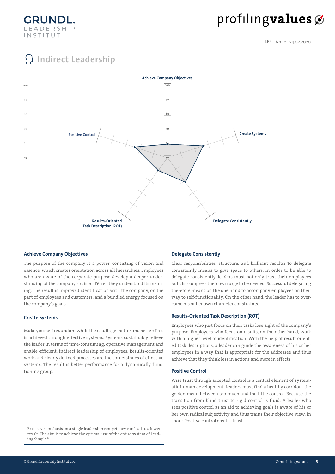

LER - Anne | 24.02.2020

## **Indirect Leadership**



#### **Achieve Company Objectives**

The purpose of the company is a power, consisting of vision and essence, which creates orientation across all hierarchies. Employees who are aware of the corporate purpose develop a deeper understanding of the company's raison d'être - they understand its meaning. The result is improved identification with the company, on the part of employees and customers, and a bundled energy focused on the company's goals.

#### **Create Systems**

Make yourself redundant while the results get better and better: This is achieved through effective systems. Systems sustainably relieve the leader in terms of time-consuming, operative management and enable efficient, indirect leadership of employees. Results-oriented work and clearly defined processes are the cornerstones of effective systems. The result is better performance for a dynamically functioning group.

Excessive emphasis on a single leadership competency can lead to a lower result. The aim is to achieve the optimal use of the entire system of Leading Simple®.

#### **Delegate Consistently**

Clear responsibilities, structure, and brilliant results: To delegate consistently means to give space to others. In order to be able to delegate consistently, leaders must not only trust their employees but also suppress their own urge to be needed. Successful delegating therefore means on the one hand to accompany employees on their way to self-functionality. On the other hand, the leader has to overcome his or her own character constraints.

#### **Results-Oriented Task Description (ROT)**

Employees who just focus on their tasks lose sight of the company's purpose. Employees who focus on results, on the other hand, work with a higher level of identification. With the help of result-oriented task descriptions, a leader can guide the awareness of his or her employees in a way that is appropriate for the addressee and thus achieve that they think less in actions and more in effects.

#### **Positive Control**

Wise trust through accepted control is a central element of systematic human development. Leaders must find a healthy corridor - the golden mean between too much and too little control. Because the transition from blind trust to rigid control is fluid. A leader who sees positive control as an aid to achieving goals is aware of his or her own radical subjectivity and thus trains their objective view. In short: Positive control creates trust.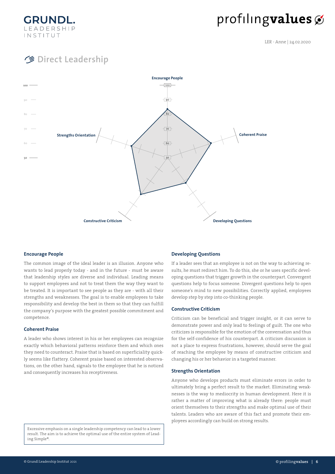

LER - Anne | 24.02.2020

## **Direct Leadership**



#### **Encourage People**

The common image of the ideal leader is an illusion. Anyone who wants to lead properly today - and in the future - must be aware that leadership styles are diverse and individual. Leading means to support employees and not to treat them the way they want to be treated. It is important to see people as they are - with all their strengths and weaknesses. The goal is to enable employees to take responsibility and develop the best in them so that they can fulfill the company's purpose with the greatest possible commitment and competence.

#### **Coherent Praise**

A leader who shows interest in his or her employees can recognize exactly which behavioral patterns reinforce them and which ones they need to counteract. Praise that is based on superficiality quickly seems like flattery. Coherent praise based on interested observations, on the other hand, signals to the employee that he is noticed and consequently increases his receptiveness.

Excessive emphasis on a single leadership competency can lead to a lower result. The aim is to achieve the optimal use of the entire system of Leading Simple®.

#### **Developing Questions**

If a leader sees that an employee is not on the way to achieving results, he must redirect him. To do this, she or he uses specific developing questions that trigger growth in the counterpart. Convergent questions help to focus someone. Divergent questions help to open someone's mind to new possibilities. Correctly applied, employees develop step by step into co-thinking people.

#### **Constructive Criticism**

Criticism can be beneficial and trigger insight, or it can serve to demonstrate power and only lead to feelings of guilt. The one who criticizes is responsible for the emotion of the conversation and thus for the self-confidence of his counterpart. A criticism discussion is not a place to express frustrations, however, should serve the goal of reaching the employee by means of constructive criticism and changing his or her behavior in a targeted manner.

#### **Strengths Orientation**

Anyone who develops products must eliminate errors in order to ultimately bring a perfect result to the market. Eliminating weaknesses is the way to mediocrity in human development. Here it is rather a matter of improving what is already there: people must orient themselves to their strengths and make optimal use of their talents. Leaders who are aware of this fact and promote their employees accordingly can build on strong results.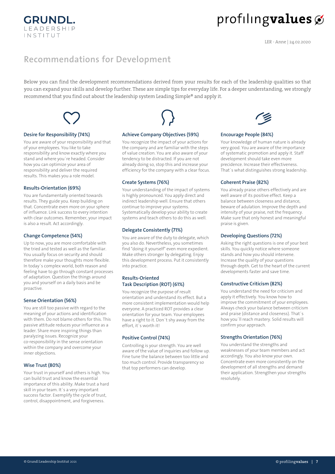## **Recommendations for Development**

Below you can find the development recommendations derived from your results for each of the leadership qualities so that you can expand your skills and develop further. These are simple tips for everyday life. For a deeper understanding, we strongly recommend that you find out about the leadership system Leading Simple® and apply it.



#### Desire for Responsibility (74%)

**GRUNDL.** LEADERSHIP INSTITUT

You are aware of your responsibility and that of your employees. You like to take responsibility and know exactly where you stand and where you're headed. Consider how you can optimize your area of responsibility and deliver the required results. This makes you a role model.

#### Results-Orientation (69%)

You are fundamentally oriented towards results. They guide you. Keep building on that. Concentrate even more on your sphere of influence. Link success to every intention with clear outcomes. Remember, your impact is also a result. Act accordingly.

#### Change Competence (54%)

Up to now, you are more comfortable with the tried and tested as well as the familiar. You usually focus on security and should therefore make your thoughts more flexible. In today's complex world, both reason and feeling have to go through constant processes of adaptation. Question the things around you and yourself on a daily basis and be proactive.

#### Sense Orientation (56%)

You are still too passive with regard to the meaning of your actions and identification with them. Do not blame others for this. This passive attitude reduces your influence as a leader. Share more inspiring things than paralyzing issues. Recognize your co-responsibility in the sense orientation within the company and overcome your inner objections.

#### Wise Trust (80%)

Your trust in yourself and others is high. You can build trust and know the essential importance of this ability. Make trust a hard skill in your team. It's a very important success factor. Exemplify the cycle of trust, control, disappointment, and forgiveness.



#### Achieve Company Objectives (59%)

You recognize the impact of your actions for the company and are familiar with the steps of value creation. You are also aware of your tendency to be distracted. If you are not already doing so, stop this and increase your efficiency for the company with a clear focus.

#### Create Systems (76%)

Your understanding of the impact of systems is highly pronounced. You apply direct and indirect leadership well. Ensure that others continue to improve your systems. Systematically develop your ability to create systems and teach others to do this as well.

#### Delegate Consistently (71%)

You are aware of the duty to delegate, which you also do. Nevertheless, you sometimes find "doing it yourself" even more expedient. Make others stronger by delegating. Enjoy this development process. Put it consistently into practice.

#### Results-Oriented Task Description (ROT) (61%)

You recognize the purpose of result orientation and understand its effect. But a more consistent implementation would help everyone. A practiced ROT provides a clear orientation for your team. Your employees have a right to it. Don't shy away from the effort, it's worth it!

#### Positive Control (74%)

Controlling is your strength. You are well aware of the value of inquiries and follow up. Fine tune the balance between too little and too much control. Provide transparency so that top performers can develop.



#### Encourage People (84%)

Your knowledge of human nature is already very good. You are aware of the importance of systematic promotion and apply it. Staff development should take even more precidence. Increase their effectiveness. That's what distinguishes strong leadership.

#### Coherent Praise (82%)

You already praise others effectively and are well aware of its positive effect. Keep a balance between closeness and distance. beware of adulation. Improve the depth and intensity of your praise, not the frequency. Make sure that only honest and meaningful praise is given.

#### Developing Questions (72%)

Asking the right questions is one of your best skills. You quickly notice where someone stands and how you should intervene. Increase the quality of your questions through depth. Get to the heart of the current developments faster and save time.

#### Constructive Criticism (82%)

You understand the need for criticism and apply it effectively. You know how to improve the commitment of your employees. Always check your balance between criticism and praise (distance and closeness). That's how you'll reach mastery. Solid results will confirm your approach.

#### Strengths Orientation (76%)

You understand the strengths and weaknesses of your team members and act accordingly. You also know your own. Concentrate even more consistently on the development of all strengths and demand their application. Strengthen your strengths resolutely.